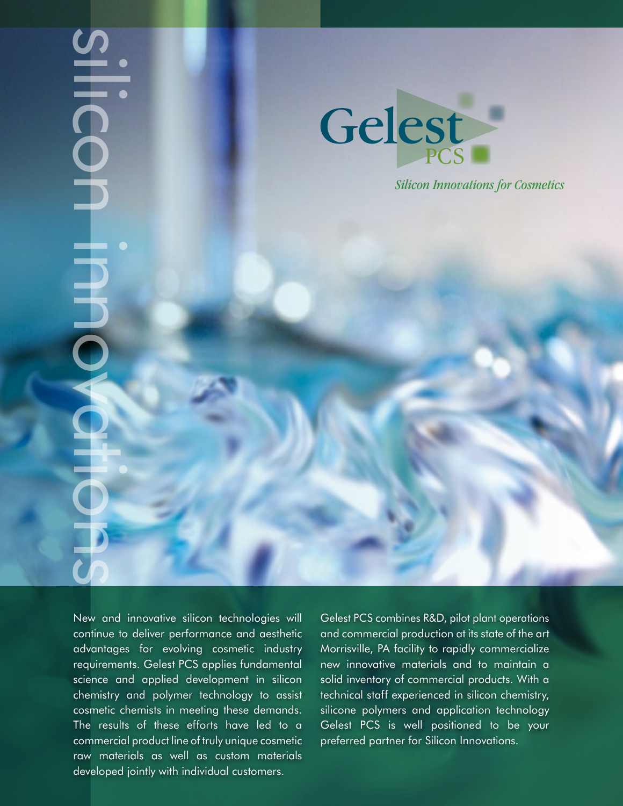# SHICON INNOVACIÓNS HECOL 电电



*Silicon Innovations for Cosmetics*

New and innovative silicon technologies will continue to deliver performance and aesthetic advantages for evolving cosmetic industry requirements. Gelest PCS applies fundamental science and applied development in silicon chemistry and polymer technology to assist cosmetic chemists in meeting these demands. The results of these efforts have led to a commercial product line of truly unique cosmetic raw materials as well as custom materials developed jointly with individual customers.

Gelest PCS combines R&D, pilot plant operations and commercial production at its state of the art Morrisville, PA facility to rapidly commercialize new innovative materials and to maintain a solid inventory of commercial products. With a technical staff experienced in silicon chemistry, silicone polymers and application technology Gelest PCS is well positioned to be your preferred partner for Silicon Innovations.